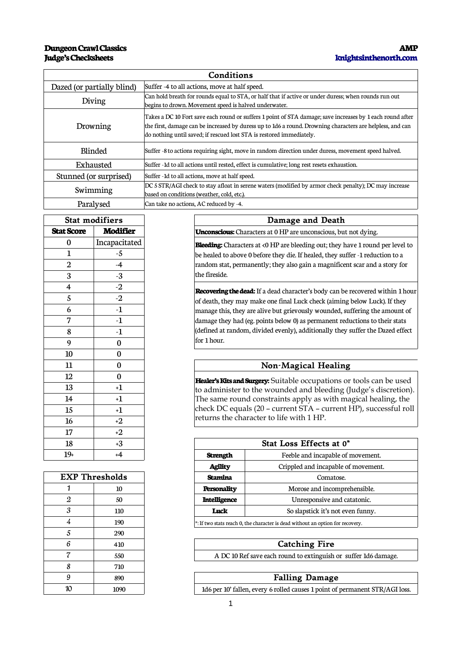# **Judge's Checksheets**

#### **Dungeon Crawl Classics AMP [knightsinthenorth.com](http://www.knightsinthenorth.com/)**

| Conditions                 |                                                                                                                                                                                                                                                                                                |  |
|----------------------------|------------------------------------------------------------------------------------------------------------------------------------------------------------------------------------------------------------------------------------------------------------------------------------------------|--|
| Dazed (or partially blind) | Suffer -4 to all actions, move at half speed.                                                                                                                                                                                                                                                  |  |
| Diving                     | Can hold breath for rounds equal to STA, or half that if active or under duress; when rounds run out<br>begins to drown. Movement speed is halved underwater.                                                                                                                                  |  |
| Drowning                   | Takes a DC 10 Fort save each round or suffers 1 point of STA damage; save increases by 1 each round after<br>the first, damage can be increased by duress up to 1d6 a round. Drowning characters are helpless, and can<br>do nothing until saved; if rescued lost STA is restored immediately. |  |
| <b>Blinded</b>             | Suffer -8 to actions requiring sight, move in random direction under duress, movement speed halved.                                                                                                                                                                                            |  |
| Exhausted                  | Suffer -1d to all actions until rested, effect is cumulative; long rest resets exhaustion.                                                                                                                                                                                                     |  |
| Stunned (or surprised)     | Suffer -1d to all actions, move at half speed.                                                                                                                                                                                                                                                 |  |
| Swimming                   | DC 5 STR/AGI check to stay afloat in serene waters (modified by armor check penalty); DC may increase<br>based on conditions (weather, cold, etc.).                                                                                                                                            |  |
| Paralysed                  | Can take no actions, AC reduced by -4.                                                                                                                                                                                                                                                         |  |

| <b>Stat modifiers</b>   |                 |  |
|-------------------------|-----------------|--|
| <b>Stat Score</b>       | <b>Modifier</b> |  |
| 0                       | Incapacitated   |  |
| $\mathbf{1}$            | -5              |  |
| $\overline{2}$          | $-4$            |  |
| 3                       | $-3$            |  |
| $\overline{\mathbf{4}}$ | $-2$            |  |
| 5                       | $\overline{-2}$ |  |
| 6                       | $-1$            |  |
| 7                       | $-1$            |  |
| 8                       | $-1$            |  |
| 9                       | $\bf{0}$        |  |
| 10                      | 0               |  |
| 11                      | $\bf{0}$        |  |
| 12                      | $\bf{0}$        |  |
| 13                      | $+1$            |  |
| 14                      | $+1$            |  |
| 15                      | $+1$            |  |
| 16                      | $+2$            |  |
| 17                      | $+2$            |  |
| 18                      | $+3$            |  |
| $19+$                   | $+4$            |  |

| <b>EXP Thresholds</b> |      |
|-----------------------|------|
| 1                     | 10   |
| 2                     | 50   |
| 3                     | 110  |
| 4                     | 190  |
| 5                     | 290  |
| 6                     | 410  |
| 7                     | 550  |
| 8                     | 710  |
| 9                     | 890  |
| 10                    | 1090 |

|                | Stat modifiers |
|----------------|----------------|
| : Score        | Modifier       |
| $\bf{0}$       | Incapacitated  |
| 1              | -5             |
| $\overline{2}$ | -4             |
| 3              | -3             |
| $\overline{4}$ | $-2$           |
| 5              | $-2$           |
| 6              | -1             |
| 7              | -1             |
| 8              | -1             |
| $\Omega$       |                |

### **Non-Magical Healing**

**Healer's Kits and Surgery:** Suitable occupations or tools can be used to administer to the wounded and bleeding (Judge's discretion). The same round constraints apply as with magical healing, the check DC equals (20 – current STA – current HP), successful roll returns the character to life with 1 HP.

| 18    | +3             |                     | Stat Loss Effects at 0*             |  |
|-------|----------------|---------------------|-------------------------------------|--|
| $19+$ | +4             | <b>Strength</b>     | Feeble and incapable of movement.   |  |
|       |                | <b>Agility</b>      | Crippled and incapable of movement. |  |
|       | EXP Thresholds | Stamina             | Comatose.                           |  |
|       | 10             | Personality         | Morose and incomprehensible.        |  |
|       | 50             | <b>Intelligence</b> | Unresponsive and catatonic.         |  |
|       | 110            | Luck                | So slapstick it's not even funny.   |  |
|       | $\sim$ $\sim$  |                     |                                     |  |

 $*$ : If two stats reach 0, the character is dead without an option for recovery.

#### **Catching Fire**

A DC 10 Ref save each round to extinguish or suffer 1d6 damage.

#### **Falling Damage**

1d6 per 10' fallen, every 6 rolled causes 1 point of permanent STR/AGI loss.